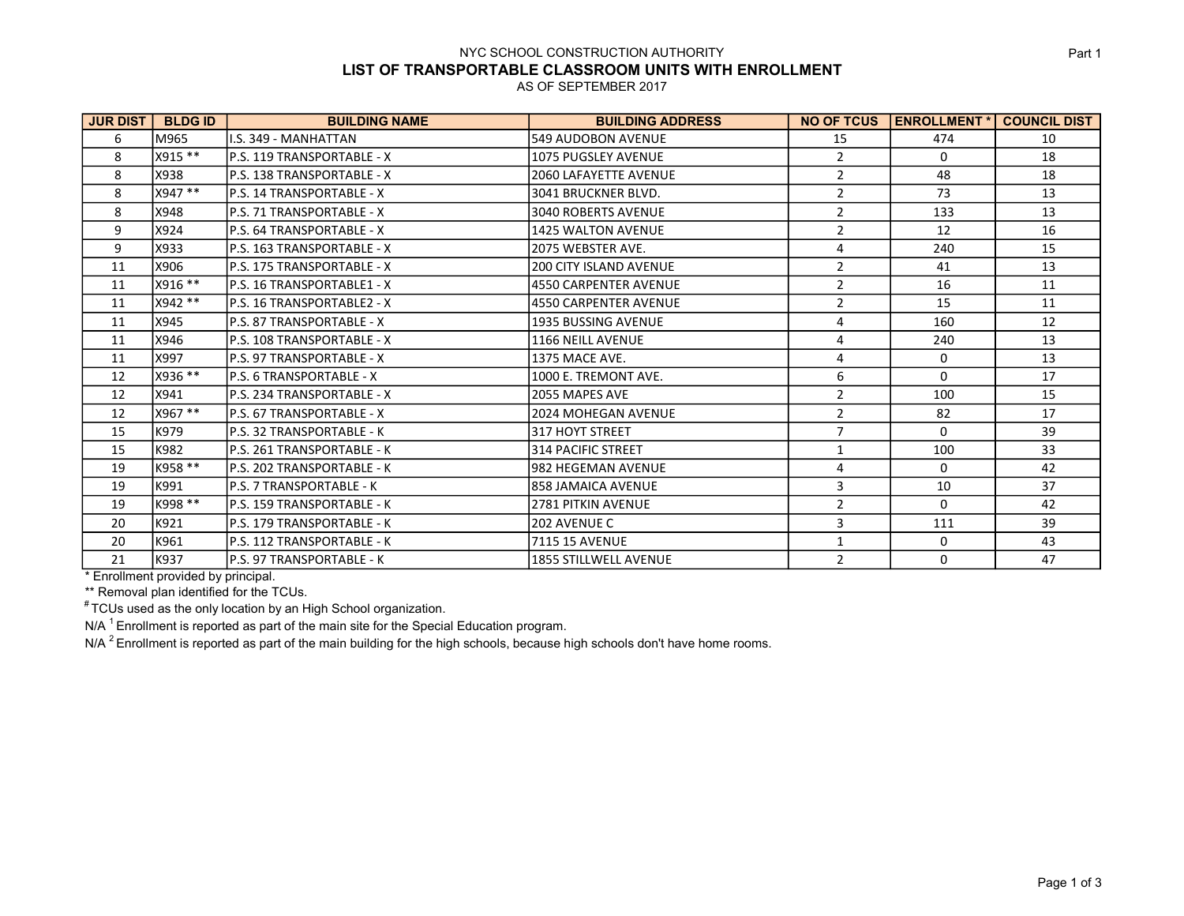## NYC SCHOOL CONSTRUCTION AUTHORITY LIST OF TRANSPORTABLE CLASSROOM UNITS WITH ENROLLMENT

AS OF SEPTEMBER 2017

| <b>JUR DIST</b> | <b>BLDGID</b> | <b>BUILDING NAME</b>        | <b>BUILDING ADDRESS</b>       | <b>NO OF TCUS</b> | <b>ENROLLMENT *  </b> | <b>COUNCIL DIST</b> |
|-----------------|---------------|-----------------------------|-------------------------------|-------------------|-----------------------|---------------------|
| 6               | lM965         | I.S. 349 - MANHATTAN        | <b>549 AUDOBON AVENUE</b>     | 15                | 474                   | 10                  |
| 8               | X915 **       | lP.S. 119 TRANSPORTABLE - X | <b>1075 PUGSLEY AVENUE</b>    | $\overline{2}$    | 0                     | 18                  |
| 8               | X938          | lP.S. 138 TRANSPORTABLE - X | <b>2060 LAFAYETTE AVENUE</b>  | $\overline{2}$    | 48                    | 18                  |
| 8               | X947 **       | lP.S. 14 TRANSPORTABLE - X  | 3041 BRUCKNER BLVD.           | $\overline{2}$    | 73                    | 13                  |
| 8               | X948          | lP.S. 71 TRANSPORTABLE - X  | <b>3040 ROBERTS AVENUE</b>    | $\overline{2}$    | 133                   | 13                  |
| 9               | X924          | lP.S. 64 TRANSPORTABLE - X  | <b>1425 WALTON AVENUE</b>     | $\overline{2}$    | 12                    | 16                  |
| 9               | X933          | lP.S. 163 TRANSPORTABLE - X | 2075 WEBSTER AVE.             | 4                 | 240                   | 15                  |
| 11              | X906          | lp.s. 175 TRANSPORTABLE - X | <b>200 CITY ISLAND AVENUE</b> | $\overline{2}$    | 41                    | 13                  |
| 11              | X916 **       | lp.s. 16 TRANSPORTABLE1 - X | 4550 CARPENTER AVENUE         | $\overline{2}$    | 16                    | 11                  |
| 11              | X942 **       | lP.S. 16 TRANSPORTABLE2 - X | 14550 CARPENTER AVENUE        | $\overline{2}$    | 15                    | 11                  |
| 11              | X945          | lP.S. 87 TRANSPORTABLE - X  | 1935 BUSSING AVENUE           | 4                 | 160                   | 12                  |
| 11              | X946          | lP.S. 108 TRANSPORTABLE - X | <b>1166 NEILL AVENUE</b>      | 4                 | 240                   | 13                  |
| 11              | X997          | lp.s. 97 TRANSPORTABLE - X  | 1375 MACE AVE.                | 4                 | 0                     | 13                  |
| 12              | X936 **       | lP.S. 6 TRANSPORTABLE - X   | 1000 E. TREMONT AVE.          | 6                 | 0                     | 17                  |
| 12              | X941          | P.S. 234 TRANSPORTABLE - X  | 2055 MAPES AVE                | $\overline{2}$    | 100                   | 15                  |
| 12              | X967 **       | lP.S. 67 TRANSPORTABLE - X  | <b>2024 MOHEGAN AVENUE</b>    | $\overline{2}$    | 82                    | 17                  |
| 15              | K979          | lP.S. 32 TRANSPORTABLE - K  | l317 HOYT STREET              | $\overline{7}$    | 0                     | 39                  |
| 15              | K982          | lP.S. 261 TRANSPORTABLE - K | 1314 PACIFIC STREET           | 1                 | 100                   | 33                  |
| 19              | K958 **       | lp.s. 202 TRANSPORTABLE - K | l982 HEGEMAN AVENUE           | 4                 | 0                     | 42                  |
| 19              | K991          | lP.S. 7 TRANSPORTABLE - K   | 1858 JAMAICA AVENUE           | 3                 | 10                    | 37                  |
| 19              | K998 **       | lP.S. 159 TRANSPORTABLE - K | 2781 PITKIN AVENUE            | $\overline{2}$    | 0                     | 42                  |
| 20              | K921          | lP.S. 179 TRANSPORTABLE - K | 202 AVENUE C                  | 3                 | 111                   | 39                  |
| 20              | K961          | lP.S. 112 TRANSPORTABLE - K | <b>7115 15 AVENUE</b>         | $\mathbf{1}$      | 0                     | 43                  |
| 21              | K937          | P.S. 97 TRANSPORTABLE - K   | <b>1855 STILLWELL AVENUE</b>  | $\overline{2}$    | 0                     | 47                  |

\* Enrollment provided by principal.

\*\* Removal plan identified for the TCUs.

 $*$  TCUs used as the only location by an High School organization.

N/A  $^1$  Enrollment is reported as part of the main site for the Special Education program.

N/A  $^2$  Enrollment is reported as part of the main building for the high schools, because high schools don't have home rooms.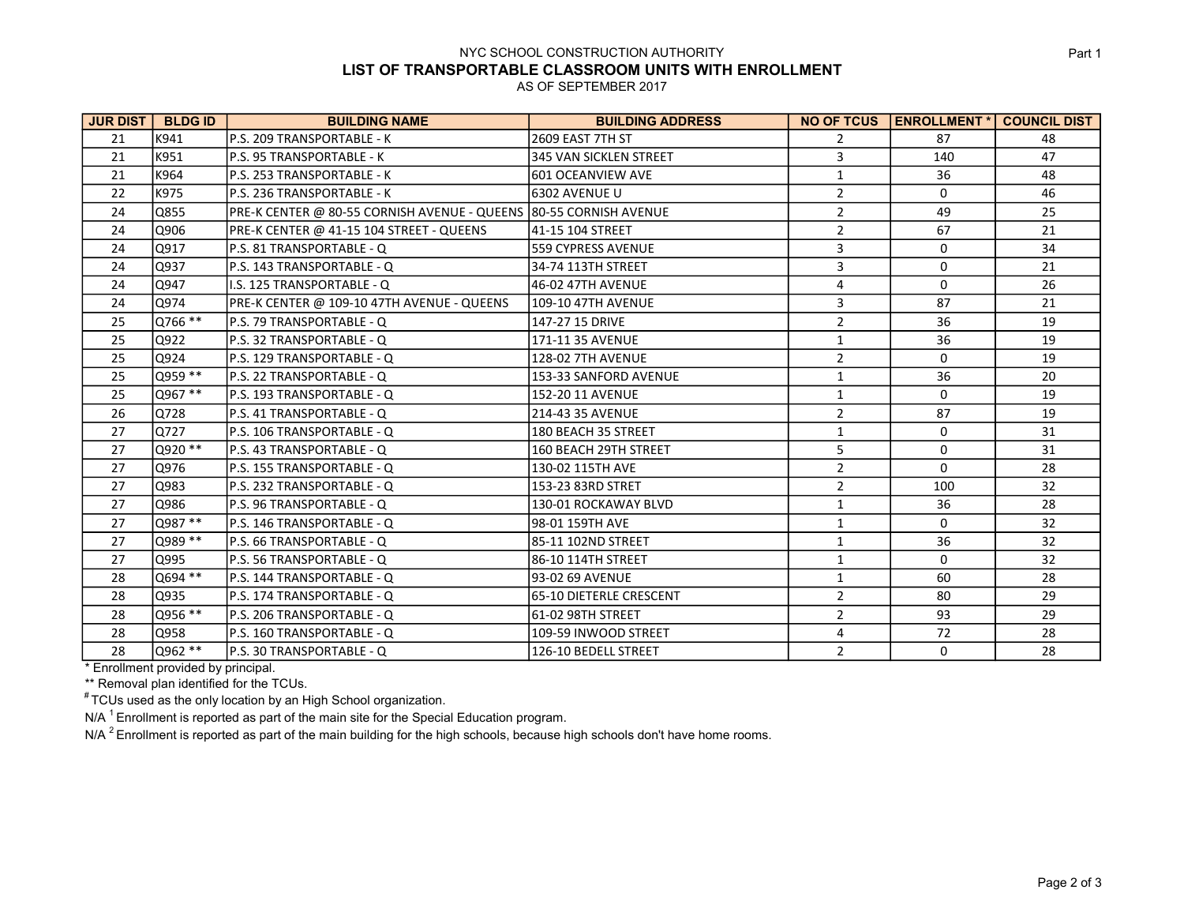## NYC SCHOOL CONSTRUCTION AUTHORITY LIST OF TRANSPORTABLE CLASSROOM UNITS WITH ENROLLMENT

AS OF SEPTEMBER 2017

| <b>JUR DIST</b> | <b>BLDG ID</b> | <b>BUILDING NAME</b>                                              | <b>BUILDING ADDRESS</b>  | <b>NO OF TCUS</b> | <b>ENROLLMENT*</b> | <b>COUNCIL DIST</b> |
|-----------------|----------------|-------------------------------------------------------------------|--------------------------|-------------------|--------------------|---------------------|
| 21              | lk941          | P.S. 209 TRANSPORTABLE - K                                        | 2609 EAST 7TH ST         | $\overline{2}$    | 87                 | 48                  |
| 21              | K951           | P.S. 95 TRANSPORTABLE - K                                         | 345 VAN SICKLEN STREET   | 3                 | 140                | 47                  |
| 21              | K964           | P.S. 253 TRANSPORTABLE - K                                        | 601 OCEANVIEW AVE        | 1                 | 36                 | 48                  |
| 22              | K975           | P.S. 236 TRANSPORTABLE - K                                        | 6302 AVENUE U            | $\overline{2}$    | 0                  | 46                  |
| 24              | Q855           | PRE-K CENTER @ 80-55 CORNISH AVENUE - QUEENS 80-55 CORNISH AVENUE |                          | $\overline{2}$    | 49                 | 25                  |
| 24              | Q906           | PRE-K CENTER @ 41-15 104 STREET - QUEENS                          | 41-15 104 STREET         | $\mathbf 2$       | 67                 | 21                  |
| 24              | Q917           | P.S. 81 TRANSPORTABLE - Q                                         | 559 CYPRESS AVENUE       | 3                 | 0                  | 34                  |
| 24              | O937           | P.S. 143 TRANSPORTABLE - Q                                        | 34-74 113TH STREET       | 3                 | 0                  | 21                  |
| 24              | Q947           | I.S. 125 TRANSPORTABLE - Q                                        | 46-02 47TH AVENUE        | 4                 | 0                  | 26                  |
| 24              | Q974           | PRE-K CENTER @ 109-10 47TH AVENUE - QUEENS                        | 109-10 47TH AVENUE       | 3                 | 87                 | 21                  |
| 25              | Q766 **        | P.S. 79 TRANSPORTABLE - Q                                         | 147-27 15 DRIVE          | $\overline{2}$    | 36                 | 19                  |
| 25              | Q922           | P.S. 32 TRANSPORTABLE - Q                                         | 171-11 35 AVENUE         | $\mathbf{1}$      | 36                 | 19                  |
| 25              | O924           | P.S. 129 TRANSPORTABLE - Q                                        | <b>128-02 7TH AVENUE</b> | $\overline{2}$    | $\Omega$           | 19                  |
| 25              | 0959 **        | P.S. 22 TRANSPORTABLE - Q                                         | 153-33 SANFORD AVENUE    | 1                 | 36                 | 20                  |
| 25              | Q967 **        | P.S. 193 TRANSPORTABLE - Q                                        | 152-20 11 AVENUE         | 1                 | $\mathbf 0$        | 19                  |
| 26              | 10728          | P.S. 41 TRANSPORTABLE - Q                                         | 214-43 35 AVENUE         | $\overline{2}$    | 87                 | 19                  |
| 27              | 0727           | P.S. 106 TRANSPORTABLE - Q                                        | 180 BEACH 35 STREET      | 1                 | 0                  | 31                  |
| 27              | Q920 **        | P.S. 43 TRANSPORTABLE - Q                                         | 160 BEACH 29TH STREET    | 5                 | 0                  | 31                  |
| 27              | Q976           | P.S. 155 TRANSPORTABLE - Q                                        | 130-02 115TH AVE         | $\overline{2}$    | 0                  | 28                  |
| 27              | Q983           | P.S. 232 TRANSPORTABLE - Q                                        | 153-23 83RD STRET        | $\mathbf 2$       | 100                | 32                  |
| 27              | Q986           | P.S. 96 TRANSPORTABLE - Q                                         | 130-01 ROCKAWAY BLVD     | $\mathbf{1}$      | 36                 | 28                  |
| 27              | Q987 **        | lP.S. 146 TRANSPORTABLE - Q                                       | 98-01 159TH AVE          | $\mathbf{1}$      | 0                  | 32                  |
| 27              | lQ989 **       | P.S. 66 TRANSPORTABLE - Q                                         | 85-11 102ND STREET       | $\mathbf{1}$      | 36                 | 32                  |
| 27              | Q995           | lP.S. 56 TRANSPORTABLE - Q                                        | 86-10 114TH STREET       | $\mathbf{1}$      | $\mathbf 0$        | 32                  |
| 28              | Q694 **        | P.S. 144 TRANSPORTABLE - Q                                        | 93-02 69 AVENUE          | $\mathbf{1}$      | 60                 | 28                  |
| 28              | lQ935          | lP.S. 174 TRANSPORTABLE - Q                                       | 65-10 DIETERLE CRESCENT  | $\overline{2}$    | 80                 | 29                  |
| 28              | Q956 **        | lp.s. 206 TRANSPORTABLE - Q                                       | 61-02 98TH STREET        | $\overline{2}$    | 93                 | 29                  |
| 28              | Q958           | P.S. 160 TRANSPORTABLE - Q                                        | 109-59 INWOOD STREET     | 4                 | 72                 | 28                  |
| 28              | Q962 **        | P.S. 30 TRANSPORTABLE - Q                                         | 126-10 BEDELL STREET     | $\overline{2}$    | $\mathbf 0$        | 28                  |

\* Enrollment provided by principal.

\*\* Removal plan identified for the TCUs.

 $*$  TCUs used as the only location by an High School organization.

N/A  $^1$  Enrollment is reported as part of the main site for the Special Education program.

N/A  $^2$  Enrollment is reported as part of the main building for the high schools, because high schools don't have home rooms.